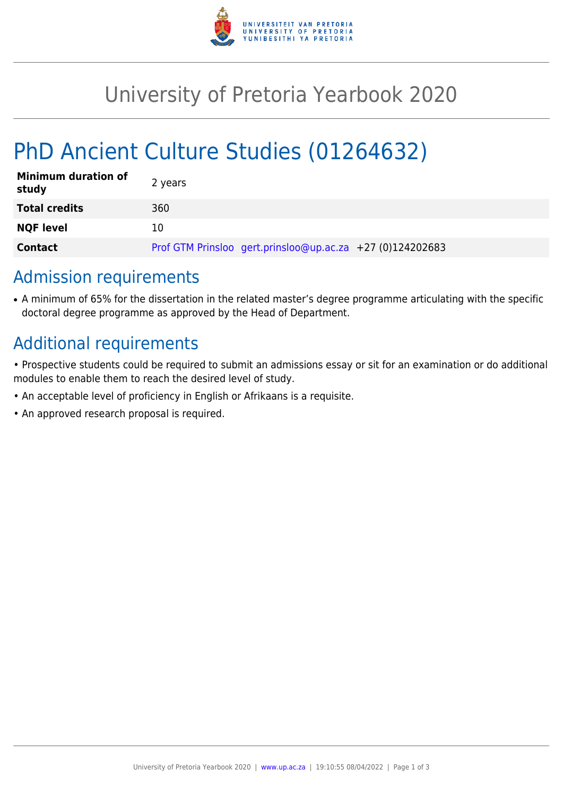

## University of Pretoria Yearbook 2020

# PhD Ancient Culture Studies (01264632)

| <b>Minimum duration of</b><br>study | 2 years                                                   |
|-------------------------------------|-----------------------------------------------------------|
| <b>Total credits</b>                | 360                                                       |
| <b>NQF level</b>                    | 10                                                        |
| <b>Contact</b>                      | Prof GTM Prinsloo gert.prinsloo@up.ac.za +27 (0)124202683 |

#### Admission requirements

• A minimum of 65% for the dissertation in the related master's degree programme articulating with the specific doctoral degree programme as approved by the Head of Department.

## Additional requirements

- Prospective students could be required to submit an admissions essay or sit for an examination or do additional modules to enable them to reach the desired level of study.
- An acceptable level of proficiency in English or Afrikaans is a requisite.
- An approved research proposal is required.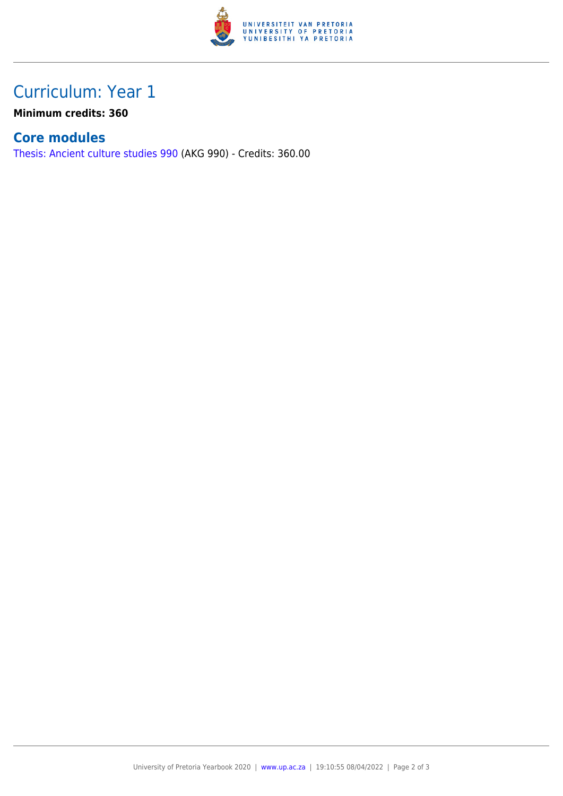

## Curriculum: Year 1

**Minimum credits: 360**

#### **Core modules**

[Thesis: Ancient culture studies 990](https://www.up.ac.za/faculty-of-education/yearbooks/2020/modules/view/AKG 990) (AKG 990) - Credits: 360.00